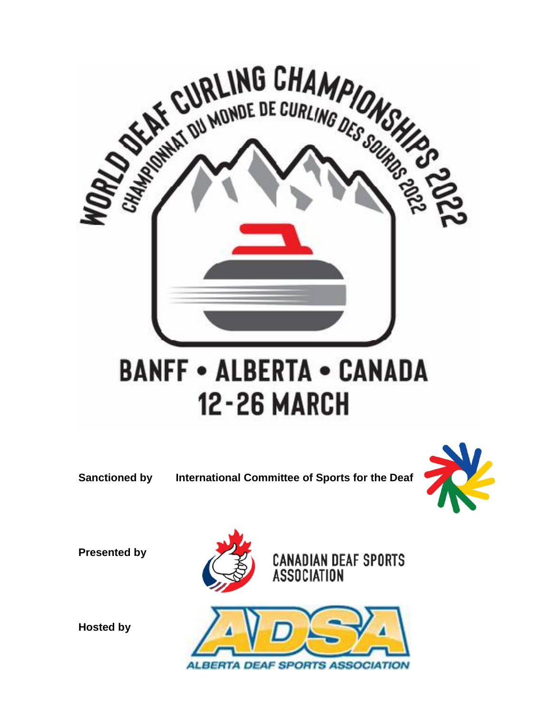

**Sanctioned by International Committee of Sports for the Deaf**



**Presented by**







**Hosted by**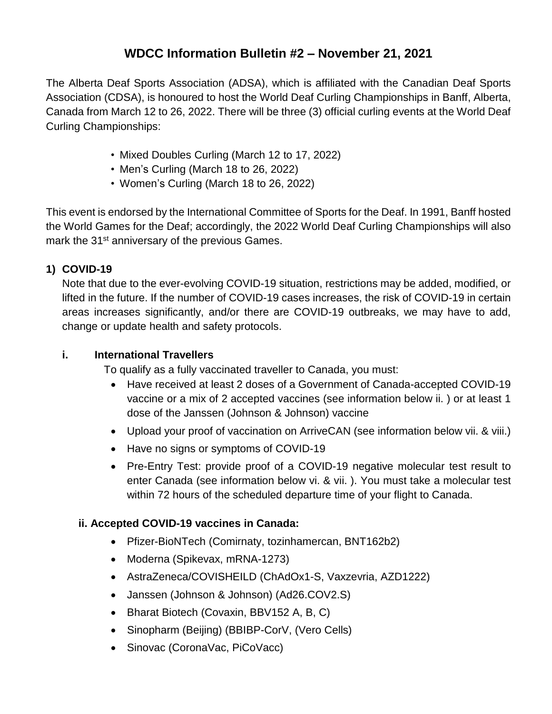## **WDCC Information Bulletin #2 – November 21, 2021**

The Alberta Deaf Sports Association (ADSA), which is affiliated with the Canadian Deaf Sports Association (CDSA), is honoured to host the World Deaf Curling Championships in Banff, Alberta, Canada from March 12 to 26, 2022. There will be three (3) official curling events at the World Deaf Curling Championships:

- Mixed Doubles Curling (March 12 to 17, 2022)
- Men's Curling (March 18 to 26, 2022)
- Women's Curling (March 18 to 26, 2022)

This event is endorsed by the International Committee of Sports for the Deaf. In 1991, Banff hosted the World Games for the Deaf; accordingly, the 2022 World Deaf Curling Championships will also mark the 31<sup>st</sup> anniversary of the previous Games.

## **1) COVID-19**

Note that due to the ever-evolving COVID-19 situation, restrictions may be added, modified, or lifted in the future. If the number of COVID-19 cases increases, the risk of COVID-19 in certain areas increases significantly, and/or there are COVID-19 outbreaks, we may have to add, change or update health and safety protocols.

### **i. International Travellers**

To qualify as a fully vaccinated traveller to Canada, you must:

- Have received at least 2 doses of a Government of Canada-accepted COVID-19 vaccine or a mix of 2 accepted vaccines (see information below ii. ) or at least 1 dose of the Janssen (Johnson & Johnson) vaccine
- Upload your proof of vaccination on ArriveCAN (see information below vii. & viii.)
- Have no signs or symptoms of COVID-19
- Pre-Entry Test: provide proof of a COVID-19 negative molecular test result to enter Canada (see information below vi. & vii. ). You must take a molecular test within 72 hours of the scheduled departure time of your flight to Canada.

### **ii. Accepted COVID-19 vaccines in Canada:**

- Pfizer-BioNTech (Comirnaty, tozinhamercan, BNT162b2)
- Moderna (Spikevax, mRNA-1273)
- AstraZeneca/COVISHEILD (ChAdOx1-S, Vaxzevria, AZD1222)
- Janssen (Johnson & Johnson) (Ad26.COV2.S)
- Bharat Biotech (Covaxin, BBV152 A, B, C)
- Sinopharm (Beijing) (BBIBP-CorV, (Vero Cells)
- Sinovac (CoronaVac, PiCoVacc)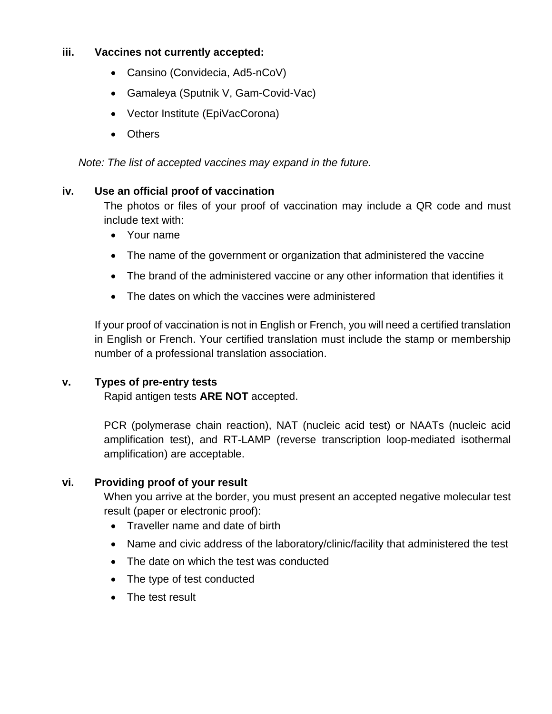#### **iii. Vaccines not currently accepted:**

- Cansino (Convidecia, Ad5-nCoV)
- Gamaleya (Sputnik V, Gam-Covid-Vac)
- Vector Institute (EpiVacCorona)
- Others

*Note: The list of accepted vaccines may expand in the future.*

#### **iv. Use an official proof of vaccination**

The photos or files of your proof of vaccination may include a QR code and must include text with:

- Your name
- The name of the government or organization that administered the vaccine
- The brand of the administered vaccine or any other information that identifies it
- The dates on which the vaccines were administered

If your proof of vaccination is not in English or French, you will need a certified translation in English or French. Your certified translation must include the stamp or membership number of a professional translation association.

### **v. Types of pre-entry tests**

Rapid antigen tests **ARE NOT** accepted.

PCR (polymerase chain reaction), NAT (nucleic acid test) or NAATs (nucleic acid amplification test), and RT-LAMP (reverse transcription loop-mediated isothermal amplification) are acceptable.

### **vi. Providing proof of your result**

When you arrive at the border, you must present an accepted negative molecular test result (paper or electronic proof):

- Traveller name and date of birth
- Name and civic address of the laboratory/clinic/facility that administered the test
- The date on which the test was conducted
- The type of test conducted
- The test result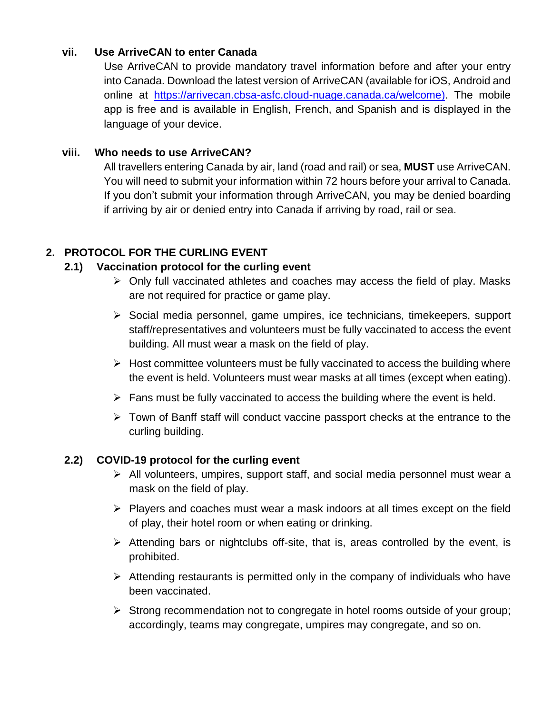#### **vii. Use ArriveCAN to enter Canada**

Use ArriveCAN to provide mandatory travel information before and after your entry into Canada. Download the latest version of ArriveCAN (available for iOS, Android and online at [https://arrivecan.cbsa-asfc.cloud-nuage.canada.ca/welcome\)](https://arrivecan.cbsa-asfc.cloud-nuage.canada.ca/welcome). The mobile app is free and is available in English, French, and Spanish and is displayed in the language of your device.

#### **viii. Who needs to use ArriveCAN?**

All travellers entering Canada by air, land (road and rail) or sea, **MUST** use ArriveCAN. You will need to submit your information within 72 hours before your arrival to Canada. If you don't submit your information through ArriveCAN, you may be denied boarding if arriving by air or denied entry into Canada if arriving by road, rail or sea.

## **2. PROTOCOL FOR THE CURLING EVENT**

### **2.1) Vaccination protocol for the curling event**

- $\triangleright$  Only full vaccinated athletes and coaches may access the field of play. Masks are not required for practice or game play.
- $\triangleright$  Social media personnel, game umpires, ice technicians, timekeepers, support staff/representatives and volunteers must be fully vaccinated to access the event building. All must wear a mask on the field of play.
- $\triangleright$  Host committee volunteers must be fully vaccinated to access the building where the event is held. Volunteers must wear masks at all times (except when eating).
- $\triangleright$  Fans must be fully vaccinated to access the building where the event is held.
- $\triangleright$  Town of Banff staff will conduct vaccine passport checks at the entrance to the curling building.

### **2.2) COVID-19 protocol for the curling event**

- $\triangleright$  All volunteers, umpires, support staff, and social media personnel must wear a mask on the field of play.
- $\triangleright$  Players and coaches must wear a mask indoors at all times except on the field of play, their hotel room or when eating or drinking.
- Attending bars or nightclubs off-site, that is, areas controlled by the event, is prohibited.
- $\triangleright$  Attending restaurants is permitted only in the company of individuals who have been vaccinated.
- $\triangleright$  Strong recommendation not to congregate in hotel rooms outside of your group; accordingly, teams may congregate, umpires may congregate, and so on.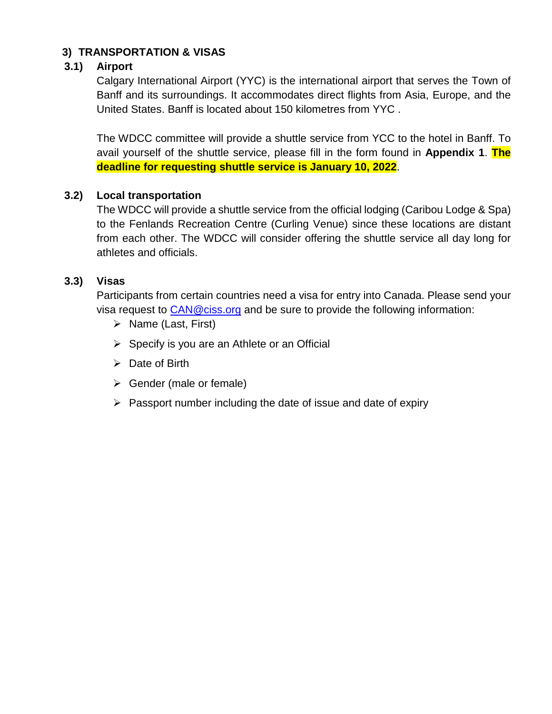## **3) TRANSPORTATION & VISAS**

#### **3.1) Airport**

Calgary International Airport (YYC) is the international airport that serves the Town of Banff and its surroundings. It accommodates direct flights from Asia, Europe, and the United States. Banff is located about 150 kilometres from YYC .

The WDCC committee will provide a shuttle service from YCC to the hotel in Banff. To avail yourself of the shuttle service, please fill in the form found in **Appendix 1**. **The deadline for requesting shuttle service is January 10, 2022**.

#### **3.2) Local transportation**

The WDCC will provide a shuttle service from the official lodging (Caribou Lodge & Spa) to the Fenlands Recreation Centre (Curling Venue) since these locations are distant from each other. The WDCC will consider offering the shuttle service all day long for athletes and officials.

#### **3.3) Visas**

Participants from certain countries need a visa for entry into Canada. Please send your visa request to **[CAN@ciss.org](mailto:CAN@ciss.org)** and be sure to provide the following information:

- $\triangleright$  Name (Last, First)
- $\triangleright$  Specify is you are an Athlete or an Official
- $\triangleright$  Date of Birth
- $\triangleright$  Gender (male or female)
- $\triangleright$  Passport number including the date of issue and date of expiry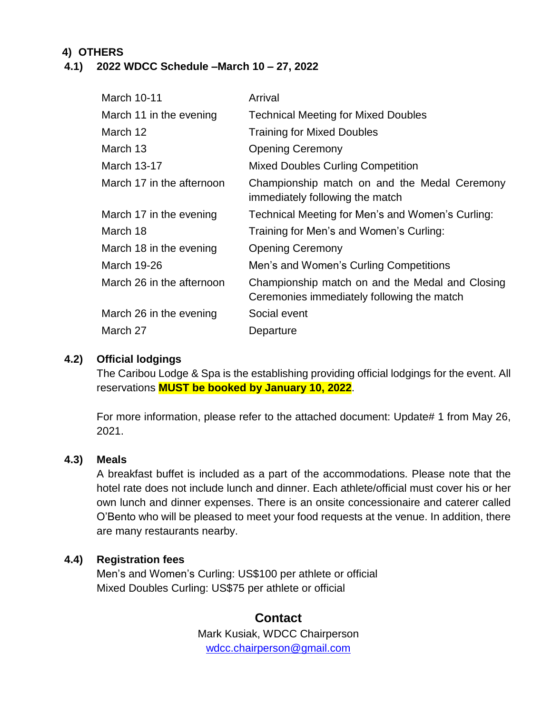## **4) OTHERS**

#### **4.1) 2022 WDCC Schedule –March 10 – 27, 2022**

| <b>March 10-11</b>        | Arrival                                                                                       |
|---------------------------|-----------------------------------------------------------------------------------------------|
| March 11 in the evening   | <b>Technical Meeting for Mixed Doubles</b>                                                    |
| March 12                  | <b>Training for Mixed Doubles</b>                                                             |
| March 13                  | <b>Opening Ceremony</b>                                                                       |
| March 13-17               | <b>Mixed Doubles Curling Competition</b>                                                      |
| March 17 in the afternoon | Championship match on and the Medal Ceremony<br>immediately following the match               |
| March 17 in the evening   | Technical Meeting for Men's and Women's Curling:                                              |
| March 18                  | Training for Men's and Women's Curling:                                                       |
| March 18 in the evening   | <b>Opening Ceremony</b>                                                                       |
| <b>March 19-26</b>        | Men's and Women's Curling Competitions                                                        |
| March 26 in the afternoon | Championship match on and the Medal and Closing<br>Ceremonies immediately following the match |
| March 26 in the evening   | Social event                                                                                  |
| March 27                  | Departure                                                                                     |

### **4.2) Official lodgings**

The Caribou Lodge & Spa is the establishing providing official lodgings for the event. All reservations **MUST be booked by January 10, 2022**.

For more information, please refer to the attached document: Update# 1 from May 26, 2021.

### **4.3) Meals**

A breakfast buffet is included as a part of the accommodations. Please note that the hotel rate does not include lunch and dinner. Each athlete/official must cover his or her own lunch and dinner expenses. There is an onsite concessionaire and caterer called O'Bento who will be pleased to meet your food requests at the venue. In addition, there are many restaurants nearby.

### **4.4) Registration fees**

Men's and Women's Curling: US\$100 per athlete or official Mixed Doubles Curling: US\$75 per athlete or official

## **Contact** Mark Kusiak, WDCC Chairperson [wdcc.chairperson@gmail.com](mailto:wdcc.chairperson@gmail.com)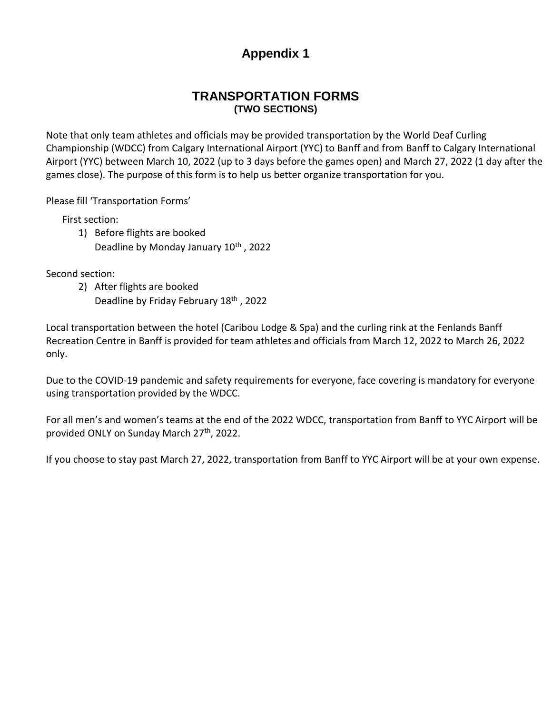# **Appendix 1**

### **TRANSPORTATION FORMS (TWO SECTIONS)**

Note that only team athletes and officials may be provided transportation by the World Deaf Curling Championship (WDCC) from Calgary International Airport (YYC) to Banff and from Banff to Calgary International Airport (YYC) between March 10, 2022 (up to 3 days before the games open) and March 27, 2022 (1 day after the games close). The purpose of this form is to help us better organize transportation for you.

Please fill 'Transportation Forms'

First section:

- 1) Before flights are booked
	- Deadline by Monday January 10<sup>th</sup>, 2022

Second section:

2) After flights are booked Deadline by Friday February 18<sup>th</sup>, 2022

Local transportation between the hotel (Caribou Lodge & Spa) and the curling rink at the Fenlands Banff Recreation Centre in Banff is provided for team athletes and officials from March 12, 2022 to March 26, 2022 only.

Due to the COVID-19 pandemic and safety requirements for everyone, face covering is mandatory for everyone using transportation provided by the WDCC.

For all men's and women's teams at the end of the 2022 WDCC, transportation from Banff to YYC Airport will be provided ONLY on Sunday March 27<sup>th</sup>, 2022.

If you choose to stay past March 27, 2022, transportation from Banff to YYC Airport will be at your own expense.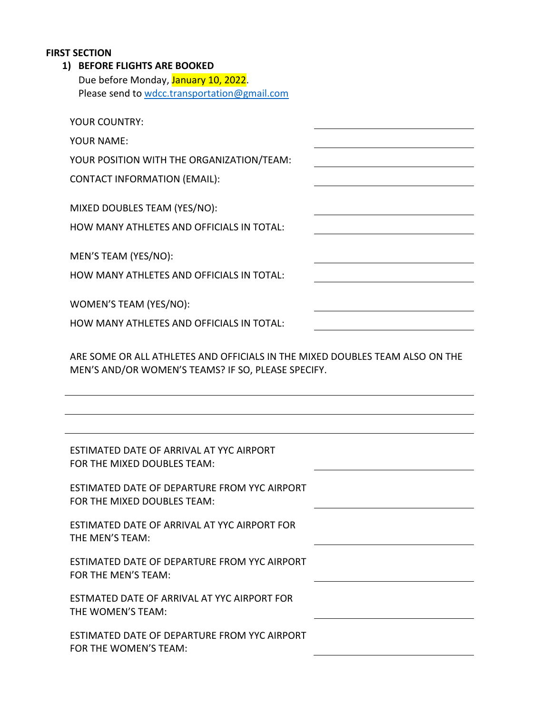#### **FIRST SECTION**

## **1) BEFORE FLIGHTS ARE BOOKED**

| Due before Monday, January 10, 2022.         |  |  |  |
|----------------------------------------------|--|--|--|
| Please send to wdcc.transportation@gmail.com |  |  |  |

| YOUR COUNTRY:                                                                                                                      |
|------------------------------------------------------------------------------------------------------------------------------------|
| <b>YOUR NAME:</b>                                                                                                                  |
| YOUR POSITION WITH THE ORGANIZATION/TEAM:                                                                                          |
| <b>CONTACT INFORMATION (EMAIL):</b>                                                                                                |
|                                                                                                                                    |
| MIXED DOUBLES TEAM (YES/NO):                                                                                                       |
| HOW MANY ATHLETES AND OFFICIALS IN TOTAL:                                                                                          |
| MEN'S TEAM (YES/NO):                                                                                                               |
| HOW MANY ATHLETES AND OFFICIALS IN TOTAL:                                                                                          |
|                                                                                                                                    |
| WOMEN'S TEAM (YES/NO):                                                                                                             |
| HOW MANY ATHLETES AND OFFICIALS IN TOTAL:                                                                                          |
| ARE SOME OR ALL ATHLETES AND OFFICIALS IN THE MIXED DOUBLES TEAM ALSO ON THE<br>MEN'S AND/OR WOMEN'S TEAMS? IF SO, PLEASE SPECIFY. |
|                                                                                                                                    |
|                                                                                                                                    |
|                                                                                                                                    |
| ESTIMATED DATE OF ARRIVAL AT YYC AIRPORT<br>FOR THE MIXED DOUBLES TEAM:                                                            |
| ESTIMATED DATE OF DEPARTURE FROM YYC AIRPORT<br>FOR THE MIXED DOUBLES TEAM:                                                        |
| ESTIMATED DATE OF ARRIVAL AT YYC AIRPORT FOR<br>THE MEN'S TEAM:                                                                    |
| ESTIMATED DATE OF DEPARTURE FROM YYC AIRPORT<br>FOR THE MEN'S TEAM:                                                                |
| ESTMATED DATE OF ARRIVAL AT YYC AIRPORT FOR<br>THE WOMEN'S TEAM:                                                                   |

FOR THE WOMEN'S TEAM: